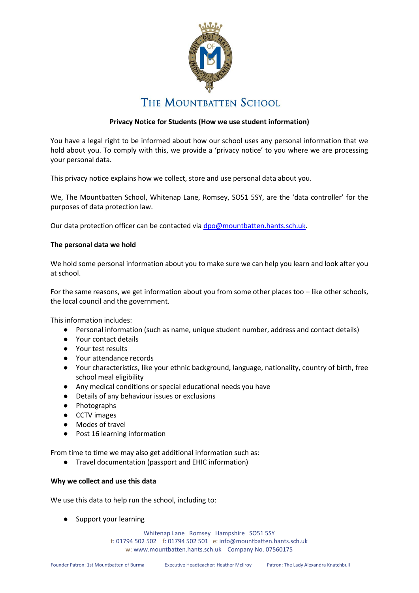

# **Privacy Notice for Students (How we use student information)**

You have a legal right to be informed about how our school uses any personal information that we hold about you. To comply with this, we provide a 'privacy notice' to you where we are processing your personal data.

This privacy notice explains how we collect, store and use personal data about you.

We, The Mountbatten School, Whitenap Lane, Romsey, SO51 5SY, are the 'data controller' for the purposes of data protection law.

Our data protection officer can be contacted via [dpo@mountbatten.hants.sch.uk.](mailto:dpo@mountbatten.hants.sch.uk)

# **The personal data we hold**

We hold some personal information about you to make sure we can help you learn and look after you at school.

For the same reasons, we get information about you from some other places too – like other schools, the local council and the government.

This information includes:

- Personal information (such as name, unique student number, address and contact details)
- Your contact details
- Your test results
- Your attendance records
- Your characteristics, like your ethnic background, language, nationality, country of birth, free school meal eligibility
- Any medical conditions or special educational needs you have
- Details of any behaviour issues or exclusions
- Photographs
- CCTV images
- Modes of travel
- Post 16 learning information

From time to time we may also get additional information such as:

● Travel documentation (passport and EHIC information)

# **Why we collect and use this data**

We use this data to help run the school, including to:

● Support your learning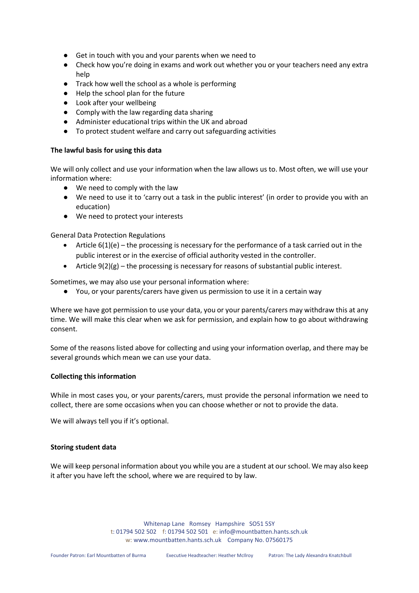- Get in touch with you and your parents when we need to
- Check how you're doing in exams and work out whether you or your teachers need any extra help
- Track how well the school as a whole is performing
- Help the school plan for the future
- Look after your wellbeing
- Comply with the law regarding data sharing
- Administer educational trips within the UK and abroad
- To protect student welfare and carry out safeguarding activities

### **The lawful basis for using this data**

We will only collect and use your information when the law allows us to. Most often, we will use your information where:

- We need to comply with the law
- We need to use it to 'carry out a task in the public interest' (in order to provide you with an education)
- We need to protect your interests

General Data Protection Regulations

- Article  $6(1)(e)$  the processing is necessary for the performance of a task carried out in the public interest or in the exercise of official authority vested in the controller.
- Article  $9(2)(g)$  the processing is necessary for reasons of substantial public interest.

Sometimes, we may also use your personal information where:

● You, or your parents/carers have given us permission to use it in a certain way

Where we have got permission to use your data, you or your parents/carers may withdraw this at any time. We will make this clear when we ask for permission, and explain how to go about withdrawing consent.

Some of the reasons listed above for collecting and using your information overlap, and there may be several grounds which mean we can use your data.

#### **Collecting this information**

While in most cases you, or your parents/carers, must provide the personal information we need to collect, there are some occasions when you can choose whether or not to provide the data.

We will always tell you if it's optional.

# **Storing student data**

We will keep personal information about you while you are a student at our school. We may also keep it after you have left the school, where we are required to by law.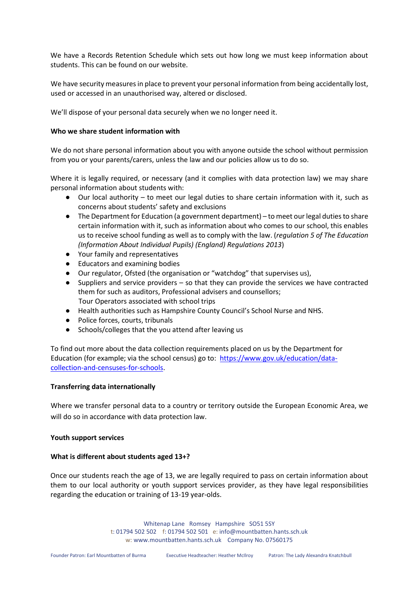We have a Records Retention Schedule which sets out how long we must keep information about students. This can be found on our website.

We have security measures in place to prevent your personal information from being accidentally lost, used or accessed in an unauthorised way, altered or disclosed.

We'll dispose of your personal data securely when we no longer need it.

### **Who we share student information with**

We do not share personal information about you with anyone outside the school without permission from you or your parents/carers, unless the law and our policies allow us to do so.

Where it is legally required, or necessary (and it complies with data protection law) we may share personal information about students with:

- Our local authority to meet our legal duties to share certain information with it, such as concerns about students' safety and exclusions
- The Department for Education (a government department) to meet our legal duties to share certain information with it, such as information about who comes to our school, this enables us to receive school funding as well as to comply with the law. (*regulation 5 of The Education (Information About Individual Pupils) (England) Regulations 2013*)
- Your family and representatives
- Educators and examining bodies
- Our regulator, Ofsted (the organisation or "watchdog" that supervises us),
- Suppliers and service providers  $-$  so that they can provide the services we have contracted them for such as auditors, Professional advisers and counsellors; Tour Operators associated with school trips
- Health authorities such as Hampshire County Council's School Nurse and NHS.
- Police forces, courts, tribunals
- Schools/colleges that the you attend after leaving us

To find out more about the data collection requirements placed on us by the Department for Education (for example; via the school census) go to: https://www.gov.uk/education/datacollection-and-censuses-for-schools.

# **Transferring data internationally**

Where we transfer personal data to a country or territory outside the European Economic Area, we will do so in accordance with data protection law.

#### **Youth support services**

# **What is different about students aged 13+?**

Once our students reach the age of 13, we are legally required to pass on certain information about them to our local authority or youth support services provider, as they have legal responsibilities regarding the education or training of 13-19 year-olds.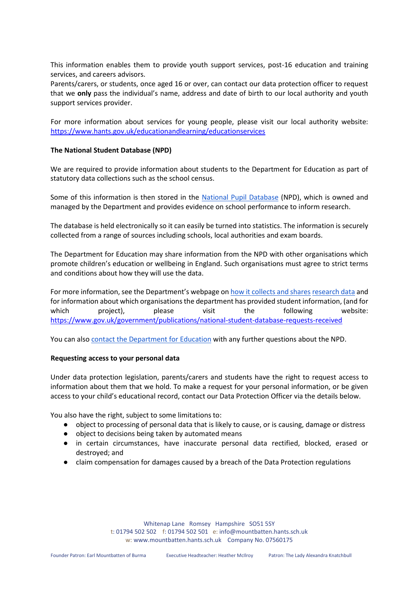This information enables them to provide youth support services, post-16 education and training services, and careers advisors.

Parents/carers, or students, once aged 16 or over, can contact our data protection officer to request that we **only** pass the individual's name, address and date of birth to our local authority and youth support services provider.

For more information about services for young people, please visit our local authority website: <https://www.hants.gov.uk/educationandlearning/educationservices>

# **The National Student Database (NPD)**

We are required to provide information about students to the Department for Education as part of statutory data collections such as the school census.

Some of this information is then stored in the National Pupil Database (NPD), which is owned and managed by the Department and provides evidence on school performance to inform research.

The database is held electronically so it can easily be turned into statistics. The information is securely collected from a range of sources including schools, local authorities and exam boards.

The Department for Education may share information from the NPD with other organisations which promote children's education or wellbeing in England. Such organisations must agree to strict terms and conditions about how they will use the data.

For more information, see the Department's webpage on how it collects and shares research data and for information about which organisations the department has provided student information, (and for which project), please visit the following website: https://www.gov.uk/government/publications/national-student-database-requests-received

You can also contact the Department for Education with any further questions about the NPD.

#### **Requesting access to your personal data**

Under data protection legislation, parents/carers and students have the right to request access to information about them that we hold. To make a request for your personal information, or be given access to your child's educational record, contact our Data Protection Officer via the details below.

You also have the right, subject to some limitations to:

- object to processing of personal data that is likely to cause, or is causing, damage or distress
- object to decisions being taken by automated means
- in certain circumstances, have inaccurate personal data rectified, blocked, erased or destroyed; and
- claim compensation for damages caused by a breach of the Data Protection regulations